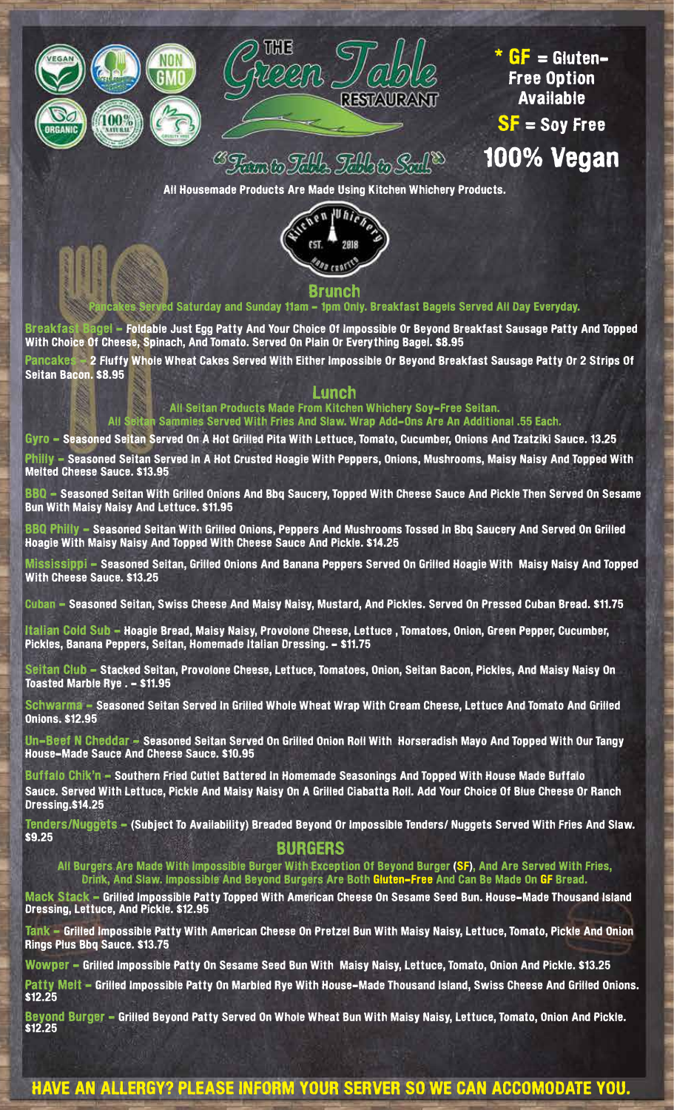



 $*$  GF = Gluten-Free Option Available SF = Soy Free 100% Vegan

<sup>B</sup>Ramlo FAIL FAIL

All Housemade Products Are Made Using Kitchen Whichery Products.



#### es Served Saturday and Sunday 11am - 1pm Only. Breakfast Bagels Served All Day Everyday.

Breakfast Bagel - Foldable Just Egg Patty And Your Choice Of Impossible Or Beyond Breakfast Sausage Patty And Topped With Choice Of Cheese, Spinach, And Tomato. Served On Plain Or Everything Bagel. \$8.95

Pancakes - 2 Fluffy Whole Wheat Cakes Served With Either Impossible Or Beyond Breakfast Sausage Patty Or 2 Strips Of Seitan Bacon. \$8.95

#### Lunch

All Seitan Products Made From Kitchen Whichery Soy-Free Seitan. All Seitan Sammies Served With Fries And Slaw. Wrap Add-Ons Are An Additional .55 Each.

Gyro - Seasoned Seitan Served On A Hot Grilled Pita With Lettuce, Tomato, Cucumber, Onions And Tzatziki Sauce. 13.25

Philly - Seasoned Seitan Served In A Hot Crusted Hoagie With Peppers, Onions, Mushrooms, Maisy Naisy And Topped With Melted Cheese Sauce. \$13.95

BBQ - Seasoned Seitan With Grilled Onions And Bbq Saucery, Topped With Cheese Sauce And Pickle Then Served On Sesame Bun With Maisy Naisy And Lettuce. \$11.95

BBQ Philly - Seasoned Seitan With Grilled Onions, Peppers And Mushrooms Tossed In Bbq Saucery And Served On Grilled Hoagie With Maisy Naisy And Topped With Cheese Sauce And Pickle. \$14.25

Mississippi - Seasoned Seitan, Grilled Onions And Banana Peppers Served On Grilled Hoagie With Maisy Naisy And Topped With Cheese Sauce. \$13.25

Cuban - Seasoned Seitan, Swiss Cheese And Maisy Naisy, Mustard, And Pickles. Served On Pressed Cuban Bread. \$11.75

Italian Cold Sub - Hoagie Bread, Maisy Naisy, Provolone Cheese, Lettuce, Tomatoes, Onion, Green Pepper, Cucumber, Pickles, Banana Peppers, Seitan, Homemade Italian Dressing. - \$11.75

Seitan Club - Stacked Seitan, Provolone Cheese, Lettuce, Tomatoes, Onion, Seitan Bacon, Pickles, And Maisy Naisy On Toasted Marble Rye . - \$11.95

Schwarma - Seasoned Seitan Served In Grilled Whole Wheat Wrap With Cream Cheese, Lettuce And Tomato And Grilled Onions. \$12.95

Un-Beef N Cheddar - Seasoned Seitan Served On Grilled Onion Roll With Horseradish Mayo And Topped With Our Tangy House-Made Sauce And Cheese Sauce. \$10.95

Buffalo Chik'n - Southern Fried Cutlet Battered In Homemade Seasonings And Topped With House Made Buffalo Sauce. Served With Lettuce, Pickle And Maisy Naisy On A Grilled Ciabatta Roll. Add Your Choice Of Blue Cheese Or Ranch Dressing.\$14.25

Tenders/Nuggets - (Subject To Availability) Breaded Beyond Or Impossible Tenders/ Nuggets Served With Fries And Slaw. \$9.25

#### BURGERS

All Burgers Are Made With Impossible Burger With Exception Of Beyond Burger (SF), And Are Served With Fries, Drink, And Slaw. Impossible And Beyond Burgers Are Both Gluten-Free And Can Be Made On GF Bread.

Mack Stack - Grilled Impossible Patty Topped With American Cheese On Sesame Seed Bun. House-Made Thousand Island Dressing, Lettuce, And Pickle. \$12.95

Tank - Grilled Impossible Patty With American Cheese On Pretzel Bun With Maisy Naisy, Lettuce, Tomato, Pickle And Onion Rings Plus Bbq Sauce. \$13.75

Wowper - Grilled Impossible Patty On Sesame Seed Bun With Maisy Naisy, Lettuce, Tomato, Onion And Pickle. \$13.25

Patty Melt - Grilled Impossible Patty On Marbled Rye With House-Made Thousand Island, Swiss Cheese And Grilled Onions. \$12.25

Beyond Burger - Grilled Beyond Patty Served On Whole Wheat Bun With Maisy Naisy, Lettuce, Tomato, Onion And Pickle. \$12.25

## HAVE AN ALLERGY? PLEASE INFORM YOUR SERVER SO WE CAN ACCOMODATE YOU.